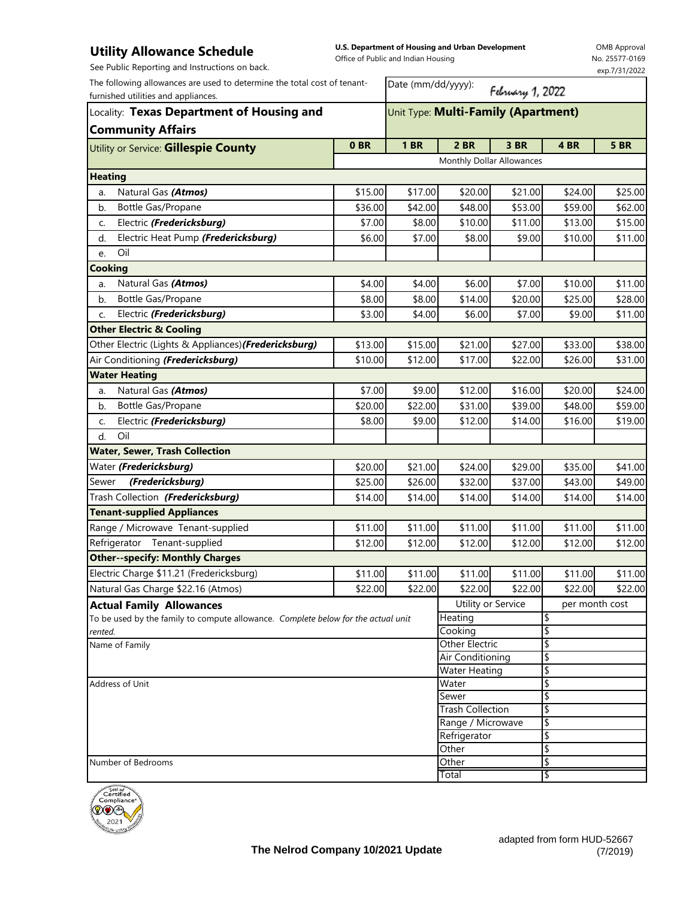## **Utility Allowance Schedule**

**U.S. Department of Housing and Urban Development**  Office of Public and Indian Housing

OMB Approval No. 25577-0169

| See Public Reporting and Instructions on back.                                                                  |                 |                                                                               |                                      |         |          | exp.7/31/2022 |  |  |
|-----------------------------------------------------------------------------------------------------------------|-----------------|-------------------------------------------------------------------------------|--------------------------------------|---------|----------|---------------|--|--|
| The following allowances are used to determine the total cost of tenant-<br>furnished utilities and appliances. |                 | Date (mm/dd/yyyy):<br>February 1, 2022<br>Unit Type: Multi-Family (Apartment) |                                      |         |          |               |  |  |
| Locality: Texas Department of Housing and<br><b>Community Affairs</b>                                           |                 |                                                                               |                                      |         |          |               |  |  |
| Utility or Service: Gillespie County                                                                            | 0 <sub>BR</sub> | <b>1 BR</b>                                                                   | <b>2 BR</b>                          | 3 BR    | 4 BR     | <b>5 BR</b>   |  |  |
|                                                                                                                 |                 | Monthly Dollar Allowances                                                     |                                      |         |          |               |  |  |
| <b>Heating</b>                                                                                                  |                 |                                                                               |                                      |         |          |               |  |  |
| Natural Gas (Atmos)<br>a.                                                                                       | \$15.00         | \$17.00                                                                       | \$20.00                              | \$21.00 | \$24.00  | \$25.00       |  |  |
| Bottle Gas/Propane<br>b.                                                                                        | \$36.00         | \$42.00                                                                       | \$48.00                              | \$53.00 | \$59.00  | \$62.00       |  |  |
| Electric (Fredericksburg)<br>C.                                                                                 | \$7.00          | \$8.00                                                                        | \$10.00                              | \$11.00 | \$13.00  | \$15.00       |  |  |
| Electric Heat Pump (Fredericksburg)<br>d.                                                                       | \$6.00          | \$7.00                                                                        | \$8.00                               | \$9.00  | \$10.00  | \$11.00       |  |  |
| Oil<br>e.                                                                                                       |                 |                                                                               |                                      |         |          |               |  |  |
| <b>Cooking</b>                                                                                                  |                 |                                                                               |                                      |         |          |               |  |  |
| Natural Gas (Atmos)<br>a.                                                                                       | \$4.00          | \$4.00                                                                        | \$6.00                               | \$7.00  | \$10.00  | \$11.00       |  |  |
| Bottle Gas/Propane<br>b.                                                                                        | \$8.00          | \$8.00                                                                        | \$14.00                              | \$20.00 | \$25.00  | \$28.00       |  |  |
| Electric (Fredericksburg)<br>c.                                                                                 | \$3.00          | \$4.00                                                                        | \$6.00                               | \$7.00  | \$9.00   | \$11.00       |  |  |
| <b>Other Electric &amp; Cooling</b>                                                                             |                 |                                                                               |                                      |         |          |               |  |  |
| Other Electric (Lights & Appliances) (Fredericksburg)                                                           | \$13.00         | \$15.00                                                                       | \$21.00                              | \$27.00 | \$33.00  | \$38.00       |  |  |
| Air Conditioning (Fredericksburg)                                                                               | \$10.00         | \$12.00                                                                       | \$17.00                              | \$22.00 | \$26.00  | \$31.00       |  |  |
| <b>Water Heating</b>                                                                                            |                 |                                                                               |                                      |         |          |               |  |  |
| Natural Gas (Atmos)<br>a.                                                                                       | \$7.00          | \$9.00                                                                        | \$12.00                              | \$16.00 | \$20.00  | \$24.00       |  |  |
| Bottle Gas/Propane<br>b.                                                                                        | \$20.00         | \$22.00                                                                       | \$31.00                              | \$39.00 | \$48.00  | \$59.00       |  |  |
| Electric (Fredericksburg)<br>c.                                                                                 | \$8.00          | \$9.00                                                                        | \$12.00                              | \$14.00 | \$16.00  | \$19.00       |  |  |
| Oil<br>d.                                                                                                       |                 |                                                                               |                                      |         |          |               |  |  |
| <b>Water, Sewer, Trash Collection</b>                                                                           |                 |                                                                               |                                      |         |          |               |  |  |
| Water (Fredericksburg)                                                                                          | \$20.00         | \$21.00                                                                       | \$24.00                              | \$29.00 | \$35.00  | \$41.00       |  |  |
| (Fredericksburg)<br>Sewer                                                                                       | \$25.00         | \$26.00                                                                       | \$32.00                              | \$37.00 | \$43.00  | \$49.00       |  |  |
| Trash Collection (Fredericksburg)                                                                               | \$14.00         | \$14.00                                                                       | \$14.00                              | \$14.00 | \$14.00  | \$14.00       |  |  |
| <b>Tenant-supplied Appliances</b>                                                                               |                 |                                                                               |                                      |         |          |               |  |  |
| Range / Microwave Tenant-supplied                                                                               | \$11.00         | \$11.00                                                                       | \$11.00                              | \$11.00 | \$11.00  | \$11.00       |  |  |
| Refrigerator Tenant-supplied                                                                                    | \$12.00         | \$12.00                                                                       | \$12.00                              | \$12.00 | \$12.00  | \$12.00       |  |  |
| <b>Other--specify: Monthly Charges</b>                                                                          |                 |                                                                               |                                      |         |          |               |  |  |
| Electric Charge \$11.21 (Fredericksburg)                                                                        | \$11.00         | \$11.00                                                                       | \$11.00                              | \$11.00 | \$11.00  | \$11.00       |  |  |
| Natural Gas Charge \$22.16 (Atmos)                                                                              | \$22.00         | \$22.00                                                                       | \$22.00                              | \$22.00 | \$22.00  | \$22.00       |  |  |
| <b>Actual Family Allowances</b>                                                                                 |                 |                                                                               | Utility or Service<br>per month cost |         |          |               |  |  |
| To be used by the family to compute allowance. Complete below for the actual unit                               |                 |                                                                               | Heating                              |         | \$       |               |  |  |
| rented.<br>Name of Family                                                                                       |                 |                                                                               | Cooking<br><b>Other Electric</b>     |         | \$       |               |  |  |
|                                                                                                                 |                 |                                                                               | Air Conditioning                     |         | \$<br>\$ |               |  |  |
|                                                                                                                 |                 |                                                                               | <b>Water Heating</b>                 |         | \$       |               |  |  |
| Address of Unit                                                                                                 |                 |                                                                               | Water                                |         | \$       |               |  |  |
|                                                                                                                 |                 | Sewer                                                                         |                                      | \$      |          |               |  |  |
|                                                                                                                 |                 | <b>Trash Collection</b>                                                       |                                      | \$      |          |               |  |  |
|                                                                                                                 |                 | Range / Microwave                                                             |                                      | \$      |          |               |  |  |
|                                                                                                                 |                 |                                                                               | Refrigerator<br>Other                |         | \$<br>\$ |               |  |  |
| Number of Bedrooms                                                                                              |                 |                                                                               | Other                                |         | \$       |               |  |  |
|                                                                                                                 |                 |                                                                               | Total                                |         | \$       |               |  |  |
| يخضض وهاجع                                                                                                      |                 |                                                                               |                                      |         |          |               |  |  |